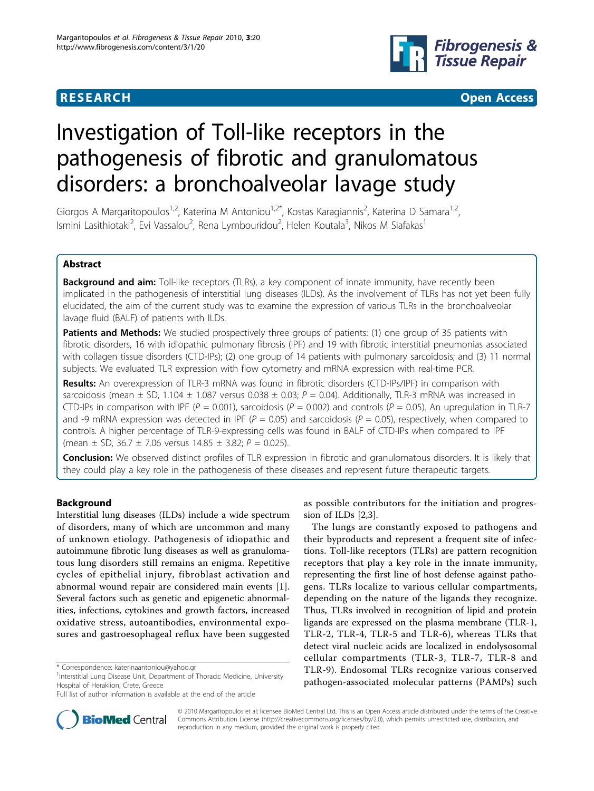

**RESEARCH CONTROL** CONTROL CONTROL CONTROL CONTROL CONTROL CONTROL CONTROL CONTROL CONTROL CONTROL CONTROL CONTROL CONTROL CONTROL CONTROL CONTROL CONTROL CONTROL CONTROL CONTROL CONTROL CONTROL CONTROL CONTROL CONTROL CON

# Investigation of Toll-like receptors in the pathogenesis of fibrotic and granulomatous disorders: a bronchoalveolar lavage study

Giorgos A Margaritopoulos<sup>1,2</sup>, Katerina M Antoniou<sup>1,2\*</sup>, Kostas Karagiannis<sup>2</sup>, Katerina D Samara<sup>1,2</sup>, Ismini Lasithiotaki<sup>2</sup>, Evi Vassalou<sup>2</sup>, Rena Lymbouridou<sup>2</sup>, Helen Koutala<sup>3</sup>, Nikos M Siafakas<sup>1</sup>

# Abstract

**Background and aim:** Toll-like receptors (TLRs), a key component of innate immunity, have recently been implicated in the pathogenesis of interstitial lung diseases (ILDs). As the involvement of TLRs has not yet been fully elucidated, the aim of the current study was to examine the expression of various TLRs in the bronchoalveolar lavage fluid (BALF) of patients with ILDs.

Patients and Methods: We studied prospectively three groups of patients: (1) one group of 35 patients with fibrotic disorders, 16 with idiopathic pulmonary fibrosis (IPF) and 19 with fibrotic interstitial pneumonias associated with collagen tissue disorders (CTD-IPs); (2) one group of 14 patients with pulmonary sarcoidosis; and (3) 11 normal subjects. We evaluated TLR expression with flow cytometry and mRNA expression with real-time PCR.

Results: An overexpression of TLR-3 mRNA was found in fibrotic disorders (CTD-IPs/IPF) in comparison with sarcoidosis (mean  $\pm$  SD, 1.104  $\pm$  1.087 versus 0.038  $\pm$  0.03; P = 0.04). Additionally, TLR-3 mRNA was increased in CTD-IPs in comparison with IPF ( $P = 0.001$ ), sarcoidosis ( $P = 0.002$ ) and controls ( $P = 0.05$ ). An upregulation in TLR-7 and -9 mRNA expression was detected in IPF ( $P = 0.05$ ) and sarcoidosis ( $P = 0.05$ ), respectively, when compared to controls. A higher percentage of TLR-9-expressing cells was found in BALF of CTD-IPs when compared to IPF (mean  $\pm$  SD, 36.7  $\pm$  7.06 versus 14.85  $\pm$  3.82;  $P = 0.025$ ).

Conclusion: We observed distinct profiles of TLR expression in fibrotic and granulomatous disorders. It is likely that they could play a key role in the pathogenesis of these diseases and represent future therapeutic targets.

# Background

Interstitial lung diseases (ILDs) include a wide spectrum of disorders, many of which are uncommon and many of unknown etiology. Pathogenesis of idiopathic and autoimmune fibrotic lung diseases as well as granulomatous lung disorders still remains an enigma. Repetitive cycles of epithelial injury, fibroblast activation and abnormal wound repair are considered main events [\[1](#page-7-0)]. Several factors such as genetic and epigenetic abnormalities, infections, cytokines and growth factors, increased oxidative stress, autoantibodies, environmental exposures and gastroesophageal reflux have been suggested



The lungs are constantly exposed to pathogens and their byproducts and represent a frequent site of infections. Toll-like receptors (TLRs) are pattern recognition receptors that play a key role in the innate immunity, representing the first line of host defense against pathogens. TLRs localize to various cellular compartments, depending on the nature of the ligands they recognize. Thus, TLRs involved in recognition of lipid and protein ligands are expressed on the plasma membrane (TLR-1, TLR-2, TLR-4, TLR-5 and TLR-6), whereas TLRs that detect viral nucleic acids are localized in endolysosomal cellular compartments (TLR-3, TLR-7, TLR-8 and TLR-9). Endosomal TLRs recognize various conserved pathogen-associated molecular patterns (PAMPs) such



© 2010 Margaritopoulos et al; licensee BioMed Central Ltd. This is an Open Access article distributed under the terms of the Creative Commons Attribution License [\(http://creativecommons.org/licenses/by/2.0](http://creativecommons.org/licenses/by/2.0)), which permits unrestricted use, distribution, and reproduction in any medium, provided the original work is properly cited.

<sup>\*</sup> Correspondence: [katerinaantoniou@yahoo.gr](mailto:katerinaantoniou@yahoo.gr)

<sup>&</sup>lt;sup>1</sup>Interstitial Lung Disease Unit, Department of Thoracic Medicine, University Hospital of Heraklion, Crete, Greece

Full list of author information is available at the end of the article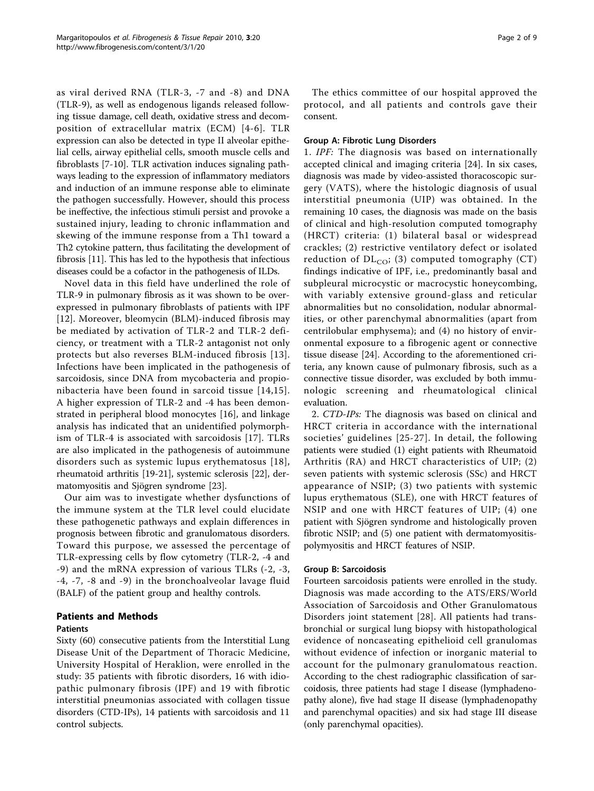as viral derived RNA (TLR-3, -7 and -8) and DNA (TLR-9), as well as endogenous ligands released following tissue damage, cell death, oxidative stress and decomposition of extracellular matrix (ECM) [[4-6](#page-7-0)]. TLR expression can also be detected in type II alveolar epithelial cells, airway epithelial cells, smooth muscle cells and fibroblasts [\[7-10](#page-7-0)]. TLR activation induces signaling pathways leading to the expression of inflammatory mediators and induction of an immune response able to eliminate the pathogen successfully. However, should this process be ineffective, the infectious stimuli persist and provoke a sustained injury, leading to chronic inflammation and skewing of the immune response from a Th1 toward a Th2 cytokine pattern, thus facilitating the development of fibrosis [[11](#page-7-0)]. This has led to the hypothesis that infectious diseases could be a cofactor in the pathogenesis of ILDs.

Novel data in this field have underlined the role of TLR-9 in pulmonary fibrosis as it was shown to be overexpressed in pulmonary fibroblasts of patients with IPF [[12](#page-7-0)]. Moreover, bleomycin (BLM)-induced fibrosis may be mediated by activation of TLR-2 and TLR-2 deficiency, or treatment with a TLR-2 antagonist not only protects but also reverses BLM-induced fibrosis [[13\]](#page-7-0). Infections have been implicated in the pathogenesis of sarcoidosis, since DNA from mycobacteria and propionibacteria have been found in sarcoid tissue [\[14,15\]](#page-7-0). A higher expression of TLR-2 and -4 has been demonstrated in peripheral blood monocytes [[16\]](#page-7-0), and linkage analysis has indicated that an unidentified polymorphism of TLR-4 is associated with sarcoidosis [[17](#page-7-0)]. TLRs are also implicated in the pathogenesis of autoimmune disorders such as systemic lupus erythematosus [[18\]](#page-7-0), rheumatoid arthritis [[19](#page-7-0)-[21\]](#page-7-0), systemic sclerosis [\[22](#page-7-0)], dermatomyositis and Sjögren syndrome [\[23](#page-7-0)].

Our aim was to investigate whether dysfunctions of the immune system at the TLR level could elucidate these pathogenetic pathways and explain differences in prognosis between fibrotic and granulomatous disorders. Toward this purpose, we assessed the percentage of TLR-expressing cells by flow cytometry (TLR-2, -4 and -9) and the mRNA expression of various TLRs (-2, -3, -4, -7, -8 and -9) in the bronchoalveolar lavage fluid (BALF) of the patient group and healthy controls.

# Patients and Methods

# Patients

Sixty (60) consecutive patients from the Interstitial Lung Disease Unit of the Department of Thoracic Medicine, University Hospital of Heraklion, were enrolled in the study: 35 patients with fibrotic disorders, 16 with idiopathic pulmonary fibrosis (IPF) and 19 with fibrotic interstitial pneumonias associated with collagen tissue disorders (CTD-IPs), 14 patients with sarcoidosis and 11 control subjects.

The ethics committee of our hospital approved the protocol, and all patients and controls gave their consent.

# Group A: Fibrotic Lung Disorders

1. IPF: The diagnosis was based on internationally accepted clinical and imaging criteria [[24](#page-7-0)]. In six cases, diagnosis was made by video-assisted thoracoscopic surgery (VATS), where the histologic diagnosis of usual interstitial pneumonia (UIP) was obtained. In the remaining 10 cases, the diagnosis was made on the basis of clinical and high-resolution computed tomography (HRCT) criteria: (1) bilateral basal or widespread crackles; (2) restrictive ventilatory defect or isolated reduction of  $DL_{CO}$ ; (3) computed tomography (CT) findings indicative of IPF, i.e., predominantly basal and subpleural microcystic or macrocystic honeycombing, with variably extensive ground-glass and reticular abnormalities but no consolidation, nodular abnormalities, or other parenchymal abnormalities (apart from centrilobular emphysema); and (4) no history of environmental exposure to a fibrogenic agent or connective tissue disease [[24](#page-7-0)]. According to the aforementioned criteria, any known cause of pulmonary fibrosis, such as a connective tissue disorder, was excluded by both immunologic screening and rheumatological clinical evaluation.

2. CTD-IPs: The diagnosis was based on clinical and HRCT criteria in accordance with the international societies' guidelines [[25](#page-7-0)-[27\]](#page-7-0). In detail, the following patients were studied (1) eight patients with Rheumatoid Arthritis (RA) and HRCT characteristics of UIP; (2) seven patients with systemic sclerosis (SSc) and HRCT appearance of NSIP; (3) two patients with systemic lupus erythematous (SLE), one with HRCT features of NSIP and one with HRCT features of UIP; (4) one patient with Sjögren syndrome and histologically proven fibrotic NSIP; and (5) one patient with dermatomyositispolymyositis and HRCT features of NSIP.

# Group B: Sarcoidosis

Fourteen sarcoidosis patients were enrolled in the study. Diagnosis was made according to the ATS/ERS/World Association of Sarcoidosis and Other Granulomatous Disorders joint statement [[28\]](#page-7-0). All patients had transbronchial or surgical lung biopsy with histopathological evidence of noncaseating epithelioid cell granulomas without evidence of infection or inorganic material to account for the pulmonary granulomatous reaction. According to the chest radiographic classification of sarcoidosis, three patients had stage I disease (lymphadenopathy alone), five had stage II disease (lymphadenopathy and parenchymal opacities) and six had stage III disease (only parenchymal opacities).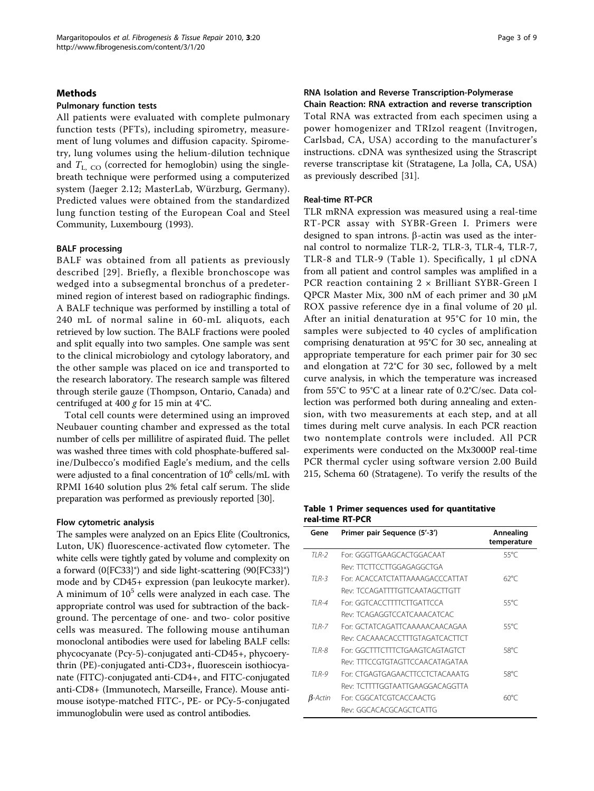#### <span id="page-2-0"></span>Methods

#### Pulmonary function tests

All patients were evaluated with complete pulmonary function tests (PFTs), including spirometry, measurement of lung volumes and diffusion capacity. Spirometry, lung volumes using the helium-dilution technique and  $T_{\text{L}, CO}$  (corrected for hemoglobin) using the singlebreath technique were performed using a computerized system (Jaeger 2.12; MasterLab, Würzburg, Germany). Predicted values were obtained from the standardized lung function testing of the European Coal and Steel Community, Luxembourg (1993).

#### BALF processing

BALF was obtained from all patients as previously described [[29\]](#page-7-0). Briefly, a flexible bronchoscope was wedged into a subsegmental bronchus of a predetermined region of interest based on radiographic findings. A BALF technique was performed by instilling a total of 240 mL of normal saline in 60-mL aliquots, each retrieved by low suction. The BALF fractions were pooled and split equally into two samples. One sample was sent to the clinical microbiology and cytology laboratory, and the other sample was placed on ice and transported to the research laboratory. The research sample was filtered through sterile gauze (Thompson, Ontario, Canada) and centrifuged at 400 g for 15 min at  $4^{\circ}$ C.

Total cell counts were determined using an improved Neubauer counting chamber and expressed as the total number of cells per millilitre of aspirated fluid. The pellet was washed three times with cold phosphate-buffered saline/Dulbecco's modified Eagle's medium, and the cells were adjusted to a final concentration of  $10^6$  cells/mL with RPMI 1640 solution plus 2% fetal calf serum. The slide preparation was performed as previously reported [[30](#page-7-0)].

#### Flow cytometric analysis

The samples were analyzed on an Epics Elite (Coultronics, Luton, UK) fluorescence-activated flow cytometer. The white cells were tightly gated by volume and complexity on a forward (0{FC33}°) and side light-scattering (90{FC33}°) mode and by CD45+ expression (pan leukocyte marker). A minimum of  $10^5$  cells were analyzed in each case. The appropriate control was used for subtraction of the background. The percentage of one- and two- color positive cells was measured. The following mouse antihuman monoclonal antibodies were used for labeling BALF cells: phycocyanate (Pcy-5)-conjugated anti-CD45+, phycoerythrin (PE)-conjugated anti-CD3+, fluorescein isothiocyanate (FITC)-conjugated anti-CD4+, and FITC-conjugated anti-CD8+ (Immunotech, Marseille, France). Mouse antimouse isotype-matched FITC-, PE- or PCy-5-conjugated immunoglobulin were used as control antibodies.

#### RNA Isolation and Reverse Transcription-Polymerase Chain Reaction: RNA extraction and reverse transcription

Total RNA was extracted from each specimen using a power homogenizer and TRIzol reagent (Invitrogen, Carlsbad, CA, USA) according to the manufacturer's instructions. cDNA was synthesized using the Strascript reverse transcriptase kit (Stratagene, La Jolla, CA, USA) as previously described [[31](#page-8-0)].

# Real-time RT-PCR

TLR mRNA expression was measured using a real-time RT-PCR assay with SYBR-Green I. Primers were designed to span introns.  $\beta$ -actin was used as the internal control to normalize TLR-2, TLR-3, TLR-4, TLR-7, TLR-8 and TLR-9 (Table 1). Specifically, 1 μl cDNA from all patient and control samples was amplified in a PCR reaction containing  $2 \times$  Brilliant SYBR-Green I QPCR Master Mix, 300 nM of each primer and 30 μM ROX passive reference dye in a final volume of 20 μl. After an initial denaturation at 95°C for 10 min, the samples were subjected to 40 cycles of amplification comprising denaturation at 95°C for 30 sec, annealing at appropriate temperature for each primer pair for 30 sec and elongation at 72°C for 30 sec, followed by a melt curve analysis, in which the temperature was increased from 55°C to 95°C at a linear rate of 0.2°C/sec. Data collection was performed both during annealing and extension, with two measurements at each step, and at all times during melt curve analysis. In each PCR reaction two nontemplate controls were included. All PCR experiments were conducted on the Mx3000P real-time PCR thermal cycler using software version 2.00 Build 215, Schema 60 (Stratagene). To verify the results of the

# Table 1 Primer sequences used for quantitative real-time RT-PCR

| Gene       | Primer pair Sequence (5'-3')    | Annealing<br>temperature |
|------------|---------------------------------|--------------------------|
| $TIR-2$    | For: GGGTTGAAGCACTGGACAAT       | 55°C                     |
|            | Rev: TTCTTCCTTGGAGAGGCTGA       |                          |
| $TIR-3$    | For: ACACCATCTATTAAAAGACCCATTAT | $62^{\circ}C$            |
|            | Rev: TCCAGATTTTGTTCAATAGCTTGTT  |                          |
| $TIR-4$    | For GGTCACCTTTTCTTGATTCCA       | 55°C                     |
|            | Rev: TCAGAGGTCCATCAAACATCAC     |                          |
| $TI R-7$   | For: GCTATCAGATTCAAAAACAACAGAA  | 55°C                     |
|            | Rev: CACAAACACCTTTGTAGATCACTTCT |                          |
| TI R-8     | For: GGCTTTCTTTCTGAAGTCAGTAGTCT | 58°C                     |
|            | Rev: TTTCCGTGTAGTTCCAACATAGATAA |                          |
| $TIR-9$    | For: CTGAGTGAGAACTTCCTCTACAAATG | 58°C                     |
|            | Rev: TCTTTTGGTAATTGAAGGACAGGTTA |                          |
| $B$ -Actin | For: CGGCATCGTCACCAACTG         | $60^{\circ}$ C           |
|            | Rev: GGCACACGCAGCTCATTG         |                          |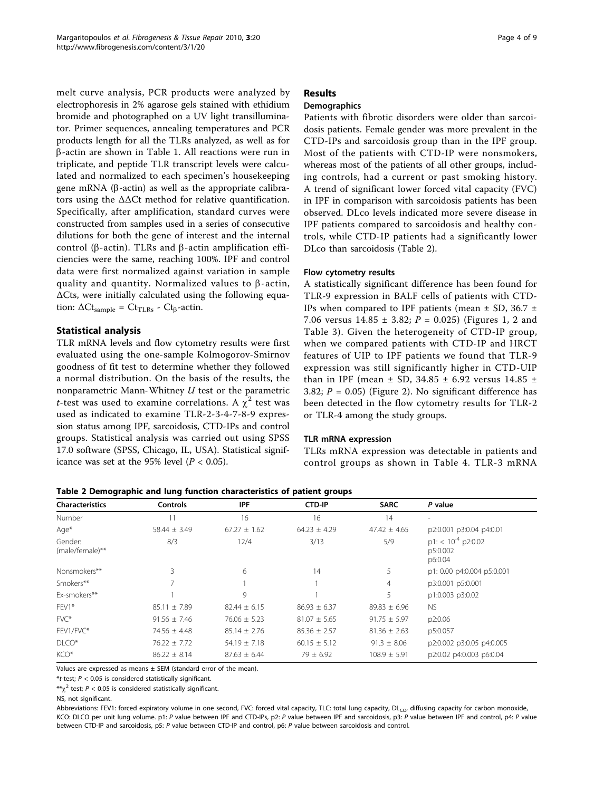melt curve analysis, PCR products were analyzed by electrophoresis in 2% agarose gels stained with ethidium bromide and photographed on a UV light transilluminator. Primer sequences, annealing temperatures and PCR products length for all the TLRs analyzed, as well as for  $\beta$ -actin are shown in Table [1](#page-2-0). All reactions were run in triplicate, and peptide TLR transcript levels were calculated and normalized to each specimen's housekeeping gene mRNA ( $\beta$ -actin) as well as the appropriate calibrators using the ΔΔCt method for relative quantification. Specifically, after amplification, standard curves were constructed from samples used in a series of consecutive dilutions for both the gene of interest and the internal control ( $\beta$ -actin). TLRs and  $\beta$ -actin amplification efficiencies were the same, reaching 100%. IPF and control data were first normalized against variation in sample quality and quantity. Normalized values to  $\beta$ -actin, ΔCts, were initially calculated using the following equation:  $\Delta \text{Ct}_{\text{sample}} = \text{Ct}_{\text{TLRs}}$  -  $\text{Ct}_{\beta}$ -actin.

# Statistical analysis

TLR mRNA levels and flow cytometry results were first evaluated using the one-sample Kolmogorov-Smirnov goodness of fit test to determine whether they followed a normal distribution. On the basis of the results, the nonparametric Mann-Whitney  $U$  test or the parametric *t*-test was used to examine correlations. A  $\chi^2$  test was used as indicated to examine TLR-2-3-4-7-8-9 expression status among IPF, sarcoidosis, CTD-IPs and control groups. Statistical analysis was carried out using SPSS 17.0 software (SPSS, Chicago, IL, USA). Statistical significance was set at the 95% level ( $P < 0.05$ ).

# Results

# **Demographics**

Patients with fibrotic disorders were older than sarcoidosis patients. Female gender was more prevalent in the CTD-IPs and sarcoidosis group than in the IPF group. Most of the patients with CTD-IP were nonsmokers, whereas most of the patients of all other groups, including controls, had a current or past smoking history. A trend of significant lower forced vital capacity (FVC) in IPF in comparison with sarcoidosis patients has been observed. DLco levels indicated more severe disease in IPF patients compared to sarcoidosis and healthy controls, while CTD-IP patients had a significantly lower DLco than sarcoidosis (Table 2).

# Flow cytometry results

A statistically significant difference has been found for TLR-9 expression in BALF cells of patients with CTD-IPs when compared to IPF patients (mean  $\pm$  SD, 36.7  $\pm$ 7.06 versus  $14.85 \pm 3.82$ ;  $P = 0.025$ ) (Figures [1](#page-4-0), [2](#page-4-0) and Table [3\)](#page-5-0). Given the heterogeneity of CTD-IP group, when we compared patients with CTD-IP and HRCT features of UIP to IPF patients we found that TLR-9 expression was still significantly higher in CTD-UIP than in IPF (mean  $\pm$  SD, 34.85  $\pm$  6.92 versus 14.85  $\pm$ 3.82;  $P = 0.05$ ) (Figure [2](#page-4-0)). No significant difference has been detected in the flow cytometry results for TLR-2 or TLR-4 among the study groups.

# TLR mRNA expression

TLRs mRNA expression was detectable in patients and control groups as shown in Table [4](#page-5-0). TLR-3 mRNA

| <b>Characteristics</b>     | <b>Controls</b>  | <b>IPF</b>       | <b>CTD-IP</b>    | <b>SARC</b>      | P value                                                 |
|----------------------------|------------------|------------------|------------------|------------------|---------------------------------------------------------|
| Number                     |                  | 16               | 16               | 14               |                                                         |
| $Aqe^*$                    | $58.44 \pm 3.49$ | $67.27 \pm 1.62$ | $64.23 \pm 4.29$ | $47.42 \pm 4.65$ | p2:0.001 p3:0.04 p4:0.01                                |
| Gender:<br>(male/female)** | 8/3              | 12/4             | 3/13             | 5/9              | $p1:$ < 10 <sup>-4</sup> p2:0.02<br>p5:0.002<br>p6:0.04 |
| Nonsmokers**               | 3                | 6                | 14               | 5                | p1: 0.00 p4:0.004 p5:0.001                              |
| Smokers**                  |                  |                  |                  | 4                | p3:0.001 p5:0.001                                       |
| Ex-smokers**               |                  | 9                |                  | 5                | p1:0.003 p3:0.02                                        |
| FEV1*                      | $85.11 \pm 7.89$ | $82.44 \pm 6.15$ | $86.93 \pm 6.37$ | $89.83 \pm 6.96$ | <b>NS</b>                                               |
| $FVC^*$                    | $91.56 \pm 7.46$ | $76.06 \pm 5.23$ | $81.07 \pm 5.65$ | $91.75 \pm 5.97$ | p2:0.06                                                 |
| FEV1/FVC*                  | $74.56 \pm 4.48$ | $85.14 \pm 2.76$ | $85.36 \pm 2.57$ | $81.36 \pm 2.63$ | p5:0.057                                                |
| $D*$                       | $76.22 \pm 7.72$ | $54.19 \pm 7.18$ | $60.15 \pm 5.12$ | $91.3 \pm 8.06$  | p2:0.002 p3:0.05 p4:0.005                               |
| KCO*                       | $86.22 \pm 8.14$ | $87.63 \pm 6.44$ | $79 \pm 6.92$    | $108.9 \pm 5.91$ | p2:0.02 p4:0.003 p6:0.04                                |

Table 2 Demographic and lung function characteristics of patient groups

Values are expressed as means  $\pm$  SEM (standard error of the mean)

\*t-test;  $P < 0.05$  is considered statistically significant.

\*\* $\chi^2$  test; P < 0.05 is considered statistically significant.

NS, not significant.

Abbreviations: FEV1: forced expiratory volume in one second, FVC: forced vital capacity, TLC: total lung capacity, DL<sub>CO</sub>, diffusing capacity for carbon monoxide, KCO: DLCO per unit lung volume. p1: P value between IPF and CTD-IPs, p2: P value between IPF and sarcoidosis, p3: P value between IPF and control, p4: P value between CTD-IP and sarcoidosis, p5: P value between CTD-IP and control, p6: P value between sarcoidosis and control.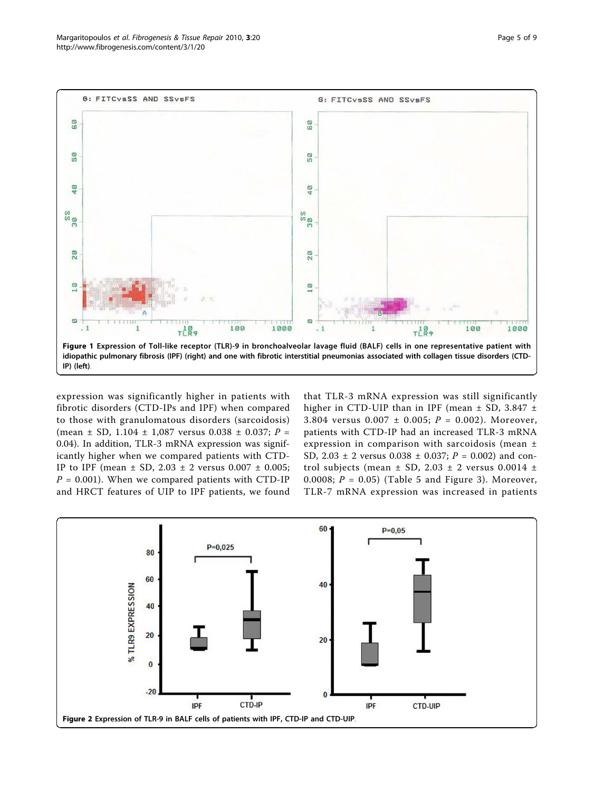<span id="page-4-0"></span>

expression was significantly higher in patients with fibrotic disorders (CTD-IPs and IPF) when compared to those with granulomatous disorders (sarcoidosis) (mean  $\pm$  SD, 1.104  $\pm$  1,087 versus 0.038  $\pm$  0.037; P = 0.04). In addition, TLR-3 mRNA expression was significantly higher when we compared patients with CTD-IP to IPF (mean  $\pm$  SD, 2.03  $\pm$  2 versus 0.007  $\pm$  0.005;  $P = 0.001$ ). When we compared patients with CTD-IP and HRCT features of UIP to IPF patients, we found that TLR-3 mRNA expression was still significantly higher in CTD-UIP than in IPF (mean  $\pm$  SD, 3.847  $\pm$ 3.804 versus  $0.007 \pm 0.005$ ;  $P = 0.002$ ). Moreover, patients with CTD-IP had an increased TLR-3 mRNA expression in comparison with sarcoidosis (mean ± SD,  $2.03 \pm 2$  versus  $0.038 \pm 0.037$ ;  $P = 0.002$ ) and control subjects (mean  $\pm$  SD, 2.03  $\pm$  2 versus 0.0014  $\pm$ 0.0008;  $P = 0.05$ ) (Table [5](#page-6-0) and Figure [3\)](#page-6-0). Moreover, TLR-7 mRNA expression was increased in patients

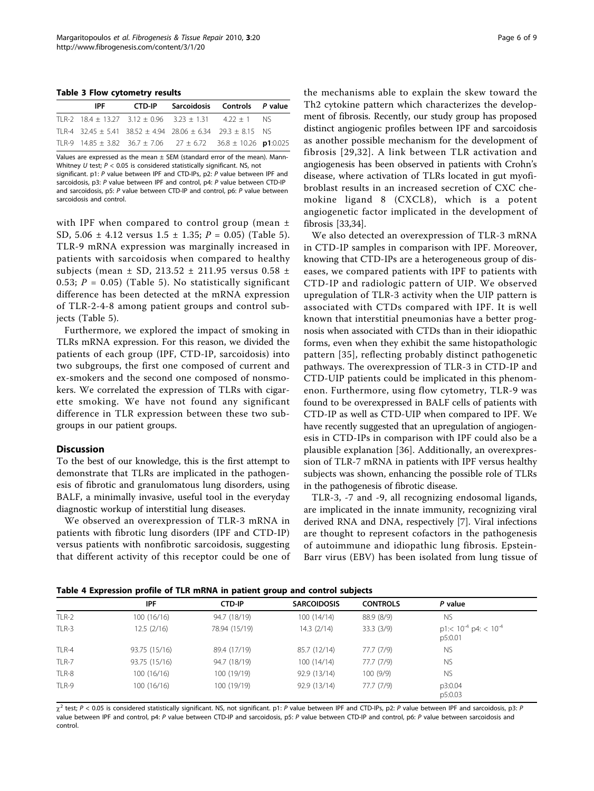<span id="page-5-0"></span>Table 3 Flow cytometry results

| <b>IPF</b> | CTD-IP | Sarcoidosis Controls P value                                                           |  |
|------------|--------|----------------------------------------------------------------------------------------|--|
|            |        | TLR-2 $18.4 \pm 13.27$ $3.12 \pm 0.96$ $3.23 \pm 1.31$ $4.22 \pm 1$ NS                 |  |
|            |        | TLR-4 $32.45 \pm 5.41$ $38.52 \pm 4.94$ $28.06 \pm 6.34$ $29.3 \pm 8.15$ NS            |  |
|            |        | TLR-9 $14.85 \pm 3.82$ $36.7 \pm 7.06$ $27 \pm 6.72$ $36.8 \pm 10.26$ <b>p1</b> :0.025 |  |

Values are expressed as the mean  $\pm$  SEM (standard error of the mean). Mann-Whitney U test;  $P < 0.05$  is considered statistically significant. NS, not significant. p1: P value between IPF and CTD-IPs, p2: P value between IPF and sarcoidosis, p3: P value between IPF and control, p4: P value between CTD-IP and sarcoidosis, p5: P value between CTD-IP and control, p6: P value between sarcoidosis and control.

with IPF when compared to control group (mean  $\pm$ SD, [5](#page-6-0).06  $\pm$  4.12 versus 1.5  $\pm$  1.35; P = 0.05) (Table 5). TLR-9 mRNA expression was marginally increased in patients with sarcoidosis when compared to healthy subjects (mean  $\pm$  SD, 213.52  $\pm$  211.95 versus 0.58  $\pm$ 0.53;  $P = 0.05$ ) (Table [5](#page-6-0)). No statistically significant difference has been detected at the mRNA expression of TLR-2-4-8 among patient groups and control subjects (Table [5\)](#page-6-0).

Furthermore, we explored the impact of smoking in TLRs mRNA expression. For this reason, we divided the patients of each group (IPF, CTD-IP, sarcoidosis) into two subgroups, the first one composed of current and ex-smokers and the second one composed of nonsmokers. We correlated the expression of TLRs with cigarette smoking. We have not found any significant difference in TLR expression between these two subgroups in our patient groups.

#### **Discussion**

To the best of our knowledge, this is the first attempt to demonstrate that TLRs are implicated in the pathogenesis of fibrotic and granulomatous lung disorders, using BALF, a minimally invasive, useful tool in the everyday diagnostic workup of interstitial lung diseases.

We observed an overexpression of TLR-3 mRNA in patients with fibrotic lung disorders (IPF and CTD-IP) versus patients with nonfibrotic sarcoidosis, suggesting that different activity of this receptor could be one of the mechanisms able to explain the skew toward the Th2 cytokine pattern which characterizes the development of fibrosis. Recently, our study group has proposed distinct angiogenic profiles between IPF and sarcoidosis as another possible mechanism for the development of fibrosis [[29,](#page-7-0)[32](#page-8-0)]. A link between TLR activation and angiogenesis has been observed in patients with Crohn's disease, where activation of TLRs located in gut myofibroblast results in an increased secretion of CXC chemokine ligand 8 (CXCL8), which is a potent angiogenetic factor implicated in the development of fibrosis [\[33,34](#page-8-0)].

We also detected an overexpression of TLR-3 mRNA in CTD-IP samples in comparison with IPF. Moreover, knowing that CTD-IPs are a heterogeneous group of diseases, we compared patients with IPF to patients with CTD-IP and radiologic pattern of UIP. We observed upregulation of TLR-3 activity when the UIP pattern is associated with CTDs compared with IPF. It is well known that interstitial pneumonias have a better prognosis when associated with CTDs than in their idiopathic forms, even when they exhibit the same histopathologic pattern [[35](#page-8-0)], reflecting probably distinct pathogenetic pathways. The overexpression of TLR-3 in CTD-IP and CTD-UIP patients could be implicated in this phenomenon. Furthermore, using flow cytometry, TLR-9 was found to be overexpressed in BALF cells of patients with CTD-IP as well as CTD-UIP when compared to IPF. We have recently suggested that an upregulation of angiogenesis in CTD-IPs in comparison with IPF could also be a plausible explanation [\[36\]](#page-8-0). Additionally, an overexpression of TLR-7 mRNA in patients with IPF versus healthy subjects was shown, enhancing the possible role of TLRs in the pathogenesis of fibrotic disease.

TLR-3, -7 and -9, all recognizing endosomal ligands, are implicated in the innate immunity, recognizing viral derived RNA and DNA, respectively [[7\]](#page-7-0). Viral infections are thought to represent cofactors in the pathogenesis of autoimmune and idiopathic lung fibrosis. Epstein-Barr virus (EBV) has been isolated from lung tissue of

|  |  |  |  |  |  | Table 4 Expression profile of TLR mRNA in patient group and control subjects |
|--|--|--|--|--|--|------------------------------------------------------------------------------|
|--|--|--|--|--|--|------------------------------------------------------------------------------|

|       | IPF           | <b>CTD-IP</b> | <b>SARCOIDOSIS</b> | <b>CONTROLS</b> | P value                                   |
|-------|---------------|---------------|--------------------|-----------------|-------------------------------------------|
| TLR-2 | 100(16/16)    | 94.7 (18/19)  | 100(14/14)         | 88.9 (8/9)      | <b>NS</b>                                 |
| TLR-3 | 12.5(2/16)    | 78.94 (15/19) | 14.3(2/14)         | 33.3(3/9)       | $p1 < 10^{-4}$ p4: < $10^{-4}$<br>p5:0.01 |
| TLR-4 | 93.75 (15/16) | 89.4 (17/19)  | 85.7 (12/14)       | 77.7 (7/9)      | <b>NS</b>                                 |
| TLR-7 | 93.75 (15/16) | 94.7 (18/19)  | 100(14/14)         | 77.7 (7/9)      | <b>NS</b>                                 |
| TLR-8 | 100(16/16)    | 100 (19/19)   | 92.9 (13/14)       | 100(9/9)        | <b>NS</b>                                 |
| TLR-9 | 100 (16/16)   | 100 (19/19)   | 92.9 (13/14)       | 77.7 (7/9)      | p3:0.04<br>p5:0.03                        |

 $\chi^2$  test; P < 0.05 is considered statistically significant. NS, not significant. p1: P value between IPF and CTD-IPs, p2: P value between IPF and sarcoidosis, p3: P value between IPF and control, p4: P value between CTD-IP and sarcoidosis, p5: P value between CTD-IP and control, p6: P value between sarcoidosis and control.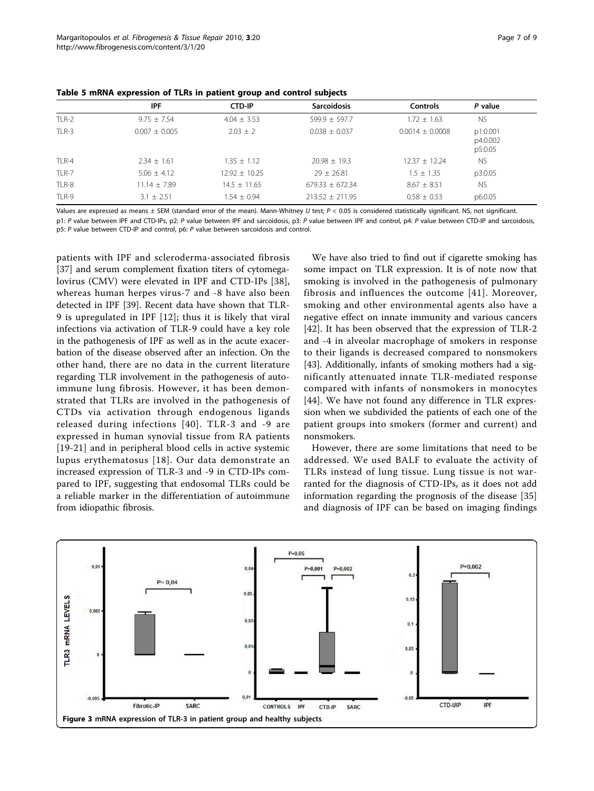<span id="page-6-0"></span>

|  |  |  | Table 5 mRNA expression of TLRs in patient group and control subjects |
|--|--|--|-----------------------------------------------------------------------|
|--|--|--|-----------------------------------------------------------------------|

|       | <b>IPF</b>        | <b>CTD-IP</b>     | <b>Sarcoidosis</b>  | <b>Controls</b>     | P value                         |  |  |
|-------|-------------------|-------------------|---------------------|---------------------|---------------------------------|--|--|
| TLR-2 | $9.75 + 7.54$     | $4.04 \pm 3.53$   | $599.9 \pm 597.7$   | $1.72 + 1.63$       | <b>NS</b>                       |  |  |
| TLR-3 | $0.007 \pm 0.005$ | $2.03 \pm 2$      | $0.038 \pm 0.037$   | $0.0014 \pm 0.0008$ | p1:0.001<br>p4:0.002<br>p5:0.05 |  |  |
| TLR-4 | $2.34 \pm 1.61$   | $1.35 \pm 1.12$   | $20.98 \pm 19.3$    | $12.37 \pm 12.24$   | <b>NS</b>                       |  |  |
| TLR-7 | $5.06 \pm 4.12$   | $12.92 \pm 10.25$ | $29 \pm 26.81$      | $1.5 \pm 1.35$      | p3:0.05                         |  |  |
| TLR-8 | $11.14 \pm 7.89$  | $14.5 \pm 11.65$  | $679.33 \pm 672.34$ | $8.67 \pm 8.51$     | <b>NS</b>                       |  |  |
| TLR-9 | $3.1 \pm 2.51$    | $1.54 \pm 0.94$   | $213.52 \pm 211.95$ | $0.58 \pm 0.53$     | p6:0.05                         |  |  |

Values are expressed as means  $\pm$  SEM (standard error of the mean). Mann-Whitney U test;  $P < 0.05$  is considered statistically significant. NS, not significant. p1: P value between IPF and CTD-IPs, p2: P value between IPF and sarcoidosis, p3: P value between IPF and control, p4: P value between CTD-IP and sarcoidosis, p5: P value between CTD-IP and control, p6: P value between sarcoidosis and control.

patients with IPF and scleroderma-associated fibrosis [[37\]](#page-8-0) and serum complement fixation titers of cytomegalovirus (CMV) were elevated in IPF and CTD-IPs [[38](#page-8-0)], whereas human herpes virus-7 and -8 have also been detected in IPF [[39](#page-8-0)]. Recent data have shown that TLR-9 is upregulated in IPF [[12\]](#page-7-0); thus it is likely that viral infections via activation of TLR-9 could have a key role in the pathogenesis of IPF as well as in the acute exacerbation of the disease observed after an infection. On the other hand, there are no data in the current literature regarding TLR involvement in the pathogenesis of autoimmune lung fibrosis. However, it has been demonstrated that TLRs are involved in the pathogenesis of CTDs via activation through endogenous ligands released during infections [[40](#page-8-0)]. TLR-3 and -9 are expressed in human synovial tissue from RA patients [[19](#page-7-0)-[21\]](#page-7-0) and in peripheral blood cells in active systemic lupus erythematosus [[18](#page-7-0)]. Our data demonstrate an increased expression of TLR-3 and -9 in CTD-IPs compared to IPF, suggesting that endosomal TLRs could be a reliable marker in the differentiation of autoimmune from idiopathic fibrosis.

We have also tried to find out if cigarette smoking has some impact on TLR expression. It is of note now that smoking is involved in the pathogenesis of pulmonary fibrosis and influences the outcome [[41\]](#page-8-0). Moreover, smoking and other environmental agents also have a negative effect on innate immunity and various cancers [[42\]](#page-8-0). It has been observed that the expression of TLR-2 and -4 in alveolar macrophage of smokers in response to their ligands is decreased compared to nonsmokers [[43\]](#page-8-0). Additionally, infants of smoking mothers had a significantly attenuated innate TLR-mediated response compared with infants of nonsmokers in monocytes [[44\]](#page-8-0). We have not found any difference in TLR expression when we subdivided the patients of each one of the patient groups into smokers (former and current) and nonsmokers.

However, there are some limitations that need to be addressed. We used BALF to evaluate the activity of TLRs instead of lung tissue. Lung tissue is not warranted for the diagnosis of CTD-IPs, as it does not add information regarding the prognosis of the disease [\[35](#page-8-0)] and diagnosis of IPF can be based on imaging findings

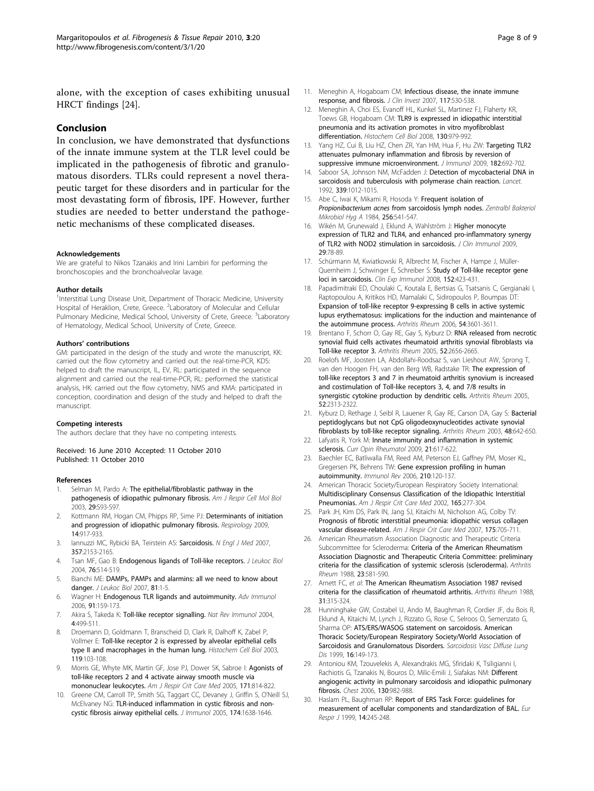<span id="page-7-0"></span>alone, with the exception of cases exhibiting unusual HRCT findings [24].

#### Conclusion

In conclusion, we have demonstrated that dysfunctions of the innate immune system at the TLR level could be implicated in the pathogenesis of fibrotic and granulomatous disorders. TLRs could represent a novel therapeutic target for these disorders and in particular for the most devastating form of fibrosis, IPF. However, further studies are needed to better understand the pathogenetic mechanisms of these complicated diseases.

#### Acknowledgements

We are grateful to Nikos Tzanakis and Irini Lambiri for performing the bronchoscopies and the bronchoalveolar lavage.

#### Author details

<sup>1</sup>Interstitial Lung Disease Unit, Department of Thoracic Medicine, University Hospital of Heraklion, Crete, Greece. <sup>2</sup>Laboratory of Molecular and Cellular Pulmonary Medicine, Medical School, University of Crete, Greece. <sup>3</sup>Laboratory of Hematology, Medical School, University of Crete, Greece.

#### Authors' contributions

GM: participated in the design of the study and wrote the manuscript, KK: carried out the flow cytometry and carried out the real-time-PCR, KDS: helped to draft the manuscript, IL, EV, RL: participated in the sequence alignment and carried out the real-time-PCR, RL: performed the statistical analysis, HK: carried out the flow cytometry, NMS and KMA: participated in conception, coordination and design of the study and helped to draft the manuscript.

#### Competing interests

The authors declare that they have no competing interests.

#### Received: 16 June 2010 Accepted: 11 October 2010 Published: 11 October 2010

#### References

- Selman M, Pardo A: [The epithelial/fibroblastic pathway in the](http://www.ncbi.nlm.nih.gov/pubmed/14503564?dopt=Abstract) [pathogenesis of idiopathic pulmonary fibrosis.](http://www.ncbi.nlm.nih.gov/pubmed/14503564?dopt=Abstract) Am J Respir Cell Mol Biol 2003, 29:S93-S97.
- 2. Kottmann RM, Hogan CM, Phipps RP, Sime PJ: [Determinants of initiation](http://www.ncbi.nlm.nih.gov/pubmed/19740254?dopt=Abstract) [and progression of idiopathic pulmonary fibrosis.](http://www.ncbi.nlm.nih.gov/pubmed/19740254?dopt=Abstract) Respirology 2009, 14:917-933.
- lannuzzi MC, Rybicki BA, Teirstein AS: [Sarcoidosis.](http://www.ncbi.nlm.nih.gov/pubmed/18032765?dopt=Abstract) N Engl J Med 2007, 357:2153-2165.
- 4. Tsan MF, Gao B: [Endogenous ligands of Toll-like receptors.](http://www.ncbi.nlm.nih.gov/pubmed/15178705?dopt=Abstract) J Leukoc Biol 2004, 76:514-519.
- 5. Bianchi ME: [DAMPs, PAMPs and alarmins: all we need to know about](http://www.ncbi.nlm.nih.gov/pubmed/17032697?dopt=Abstract) [danger.](http://www.ncbi.nlm.nih.gov/pubmed/17032697?dopt=Abstract) J Leukoc Biol 2007, 81:1-5.
- 6. Wagner H: [Endogenous TLR ligands and autoimmunity.](http://www.ncbi.nlm.nih.gov/pubmed/16938540?dopt=Abstract) Adv Immunol 2006, 91:159-173.
- 7. Akira S, Takeda K: [Toll-like receptor signalling.](http://www.ncbi.nlm.nih.gov/pubmed/15229469?dopt=Abstract) Nat Rev Immunol 2004, 4:499-511.
- 8. Droemann D, Goldmann T, Branscheid D, Clark R, Dalhoff K, Zabel P, Vollmer E: [Toll-like receptor 2 is expressed by alveolar epithelial cells](http://www.ncbi.nlm.nih.gov/pubmed/12610729?dopt=Abstract) [type II and macrophages in the human lung.](http://www.ncbi.nlm.nih.gov/pubmed/12610729?dopt=Abstract) Histochem Cell Biol 2003, 119:103-108.
- 9. Morris GE, Whyte MK, Martin GF, Jose PJ, Dower SK, Sabroe I: [Agonists of](http://www.ncbi.nlm.nih.gov/pubmed/15657467?dopt=Abstract) [toll-like receptors 2 and 4 activate airway smooth muscle via](http://www.ncbi.nlm.nih.gov/pubmed/15657467?dopt=Abstract) [mononuclear leukocytes.](http://www.ncbi.nlm.nih.gov/pubmed/15657467?dopt=Abstract) Am J Respir Crit Care Med 2005, 171:814-822.
- 10. Greene CM, Carroll TP, Smith SG, Taggart CC, Devaney J, Griffin S, O'Neill SJ, McElvaney NG: [TLR-induced inflammation in cystic fibrosis and non](http://www.ncbi.nlm.nih.gov/pubmed/15661927?dopt=Abstract)[cystic fibrosis airway epithelial cells.](http://www.ncbi.nlm.nih.gov/pubmed/15661927?dopt=Abstract) J Immunol 2005, 174:1638-1646.
- 11. Meneghin A, Hogaboam CM: [Infectious disease, the innate immune](http://www.ncbi.nlm.nih.gov/pubmed/17332880?dopt=Abstract) [response, and fibrosis.](http://www.ncbi.nlm.nih.gov/pubmed/17332880?dopt=Abstract) J Clin Invest 2007, 117:530-538.
- 12. Meneghin A, Choi ES, Evanoff HL, Kunkel SL, Martinez FJ, Flaherty KR, Toews GB, Hogaboam CM: [TLR9 is expressed in idiopathic interstitial](http://www.ncbi.nlm.nih.gov/pubmed/18633634?dopt=Abstract) [pneumonia and its activation promotes in vitro myofibroblast](http://www.ncbi.nlm.nih.gov/pubmed/18633634?dopt=Abstract) [differentiation.](http://www.ncbi.nlm.nih.gov/pubmed/18633634?dopt=Abstract) Histochem Cell Biol 2008, 130:979-992.
- 13. Yang HZ, Cui B, Liu HZ, Chen ZR, Yan HM, Hua F, Hu ZW: [Targeting TLR2](http://www.ncbi.nlm.nih.gov/pubmed/19109203?dopt=Abstract) [attenuates pulmonary inflammation and fibrosis by reversion of](http://www.ncbi.nlm.nih.gov/pubmed/19109203?dopt=Abstract) [suppressive immune microenvironment.](http://www.ncbi.nlm.nih.gov/pubmed/19109203?dopt=Abstract) J Immunol 2009, 182:692-702.
- 14. Saboor SA, Johnson NM, McFadden J: [Detection of mycobacterial DNA in](http://www.ncbi.nlm.nih.gov/pubmed/1349051?dopt=Abstract) [sarcoidosis and tuberculosis with polymerase chain reaction.](http://www.ncbi.nlm.nih.gov/pubmed/1349051?dopt=Abstract) Lancet. 1992, 339:1012-1015.
- 15. Abe C, Iwai K, Mikami R, Hosoda Y: [Frequent isolation of](http://www.ncbi.nlm.nih.gov/pubmed/6377763?dopt=Abstract) Propionibacterium acnes [from sarcoidosis lymph nodes.](http://www.ncbi.nlm.nih.gov/pubmed/6377763?dopt=Abstract) Zentralbl Bakteriol Mikrobiol Hyg A 1984, 256:541-547.
- 16. Wikén M, Grunewald J, Eklund A, Wahlström J: [Higher monocyte](http://www.ncbi.nlm.nih.gov/pubmed/18773284?dopt=Abstract) [expression of TLR2 and TLR4, and enhanced pro-inflammatory synergy](http://www.ncbi.nlm.nih.gov/pubmed/18773284?dopt=Abstract) [of TLR2 with NOD2 stimulation in sarcoidosis.](http://www.ncbi.nlm.nih.gov/pubmed/18773284?dopt=Abstract) J Clin Immunol 2009, 29:78-89.
- 17. Schürmann M, Kwiatkowski R, Albrecht M, Fischer A, Hampe J, Müller-Quernheim J, Schwinger E, Schreiber S: [Study of Toll-like receptor gene](http://www.ncbi.nlm.nih.gov/pubmed/18422738?dopt=Abstract) [loci in sarcoidosis.](http://www.ncbi.nlm.nih.gov/pubmed/18422738?dopt=Abstract) Clin Exp Immunol 2008, 152:423-431.
- 18. Papadimitraki ED, Choulaki C, Koutala E, Bertsias G, Tsatsanis C, Gergianaki I, Raptopoulou A, Kritikos HD, Mamalaki C, Sidiropoulos P, Boumpas DT: [Expansion of toll-like receptor 9-expressing B cells in active systemic](http://www.ncbi.nlm.nih.gov/pubmed/17075805?dopt=Abstract) [lupus erythematosus: implications for the induction and maintenance of](http://www.ncbi.nlm.nih.gov/pubmed/17075805?dopt=Abstract) [the autoimmune process.](http://www.ncbi.nlm.nih.gov/pubmed/17075805?dopt=Abstract) Arthritis Rheum 2006, 54:3601-3611.
- 19. Brentano F, Schorr O, Gay RE, Gay S, Kyburz D: [RNA released from necrotic](http://www.ncbi.nlm.nih.gov/pubmed/16142732?dopt=Abstract) [synovial fluid cells activates rheumatoid arthritis synovial fibroblasts via](http://www.ncbi.nlm.nih.gov/pubmed/16142732?dopt=Abstract) [Toll-like receptor 3.](http://www.ncbi.nlm.nih.gov/pubmed/16142732?dopt=Abstract) Arthritis Rheum 2005, 52:2656-2665.
- 20. Roelofs MF, Joosten LA, Abdollahi-Roodsaz S, van Lieshout AW, Sprong T, van den Hoogen FH, van den Berg WB, Radstake TR: [The expression of](http://www.ncbi.nlm.nih.gov/pubmed/16052591?dopt=Abstract) [toll-like receptors 3 and 7 in rheumatoid arthritis synovium is increased](http://www.ncbi.nlm.nih.gov/pubmed/16052591?dopt=Abstract) [and costimulation of Toll-like receptors 3, 4, and 7/8 results in](http://www.ncbi.nlm.nih.gov/pubmed/16052591?dopt=Abstract) [synergistic cytokine production by dendritic cells.](http://www.ncbi.nlm.nih.gov/pubmed/16052591?dopt=Abstract) Arthritis Rheum 2005, 52:2313-2322.
- 21. Kyburz D, Rethage J, Seibl R, Lauener R, Gay RE, Carson DA, Gay S: [Bacterial](http://www.ncbi.nlm.nih.gov/pubmed/12632416?dopt=Abstract) [peptidoglycans but not CpG oligodeoxynucleotides activate synovial](http://www.ncbi.nlm.nih.gov/pubmed/12632416?dopt=Abstract) [fibroblasts by toll-like receptor signaling.](http://www.ncbi.nlm.nih.gov/pubmed/12632416?dopt=Abstract) Arthritis Rheum 2003, 48:642-650.
- 22. Lafyatis R, York M: [Innate immunity and inflammation in systemic](http://www.ncbi.nlm.nih.gov/pubmed/19633559?dopt=Abstract) [sclerosis.](http://www.ncbi.nlm.nih.gov/pubmed/19633559?dopt=Abstract) Curr Opin Rheumatol 2009, 21:617-622.
- 23. Baechler EC, Batliwalla FM, Reed AM, Peterson EJ, Gaffney PM, Moser KL, Gregersen PK, Behrens TW: [Gene expression profiling in human](http://www.ncbi.nlm.nih.gov/pubmed/16623768?dopt=Abstract) [autoimmunity.](http://www.ncbi.nlm.nih.gov/pubmed/16623768?dopt=Abstract) Immunol Rev 2006, 210:120-137.
- 24. American Thoracic Society/European Respiratory Society International: [Multidisciplinary Consensus Classification of the Idiopathic Interstitial](http://www.ncbi.nlm.nih.gov/pubmed/11790668?dopt=Abstract) [Pneumonias.](http://www.ncbi.nlm.nih.gov/pubmed/11790668?dopt=Abstract) Am J Respir Crit Care Med 2002, 165:277-304.
- 25. Park JH, Kim DS, Park IN, Jang SJ, Kitaichi M, Nicholson AG, Colby TV: [Prognosis of fibrotic interstitial pneumonia: idiopathic versus collagen](http://www.ncbi.nlm.nih.gov/pubmed/17218621?dopt=Abstract) [vascular disease-related.](http://www.ncbi.nlm.nih.gov/pubmed/17218621?dopt=Abstract) Am J Respir Crit Care Med 2007, 175:705-711.
- 26. American Rheumatism Association Diagnostic and Therapeutic Criteria Subcommittee for Scleroderma: Criteria of the American Rheumatism Association Diagnostic and Therapeutic Criteria Committee: preliminary criteria for the classification of systemic sclerosis (scleroderma). Arthritis Rheum 1988, 23:581-590.
- 27. Arnett FC, et al: [The American Rheumatism Association 1987 revised](http://www.ncbi.nlm.nih.gov/pubmed/3358796?dopt=Abstract) [criteria for the classification of rheumatoid arthritis.](http://www.ncbi.nlm.nih.gov/pubmed/3358796?dopt=Abstract) Arthritis Rheum 1988, 31:315-324.
- 28. Hunninghake GW, Costabel U, Ando M, Baughman R, Cordier JF, du Bois R, Eklund A, Kitaichi M, Lynch J, Rizzato G, Rose C, Selroos O, Semenzato G, Sharma OP: [ATS/ERS/WASOG statement on sarcoidosis. American](http://www.ncbi.nlm.nih.gov/pubmed/10560120?dopt=Abstract) [Thoracic Society/European Respiratory Society/World Association of](http://www.ncbi.nlm.nih.gov/pubmed/10560120?dopt=Abstract) [Sarcoidosis and Granulomatous Disorders.](http://www.ncbi.nlm.nih.gov/pubmed/10560120?dopt=Abstract) Sarcoidosis Vasc Diffuse Lung Dis 1999, 16:149-173.
- 29. Antoniou KM, Tzouvelekis A, Alexandrakis MG, Sfiridaki K, Tsiligianni I, Rachiotis G, Tzanakis N, Bouros D, Milic-Emili J, Siafakas NM: [Different](http://www.ncbi.nlm.nih.gov/pubmed/17035428?dopt=Abstract) [angiogenic activity in pulmonary sarcoidosis and idiopathic pulmonary](http://www.ncbi.nlm.nih.gov/pubmed/17035428?dopt=Abstract) [fibrosis.](http://www.ncbi.nlm.nih.gov/pubmed/17035428?dopt=Abstract) Chest 2006, 130:982-988.
- 30. Haslam PL, Baughman RP: [Report of ERS Task Force: guidelines for](http://www.ncbi.nlm.nih.gov/pubmed/10515395?dopt=Abstract) [measurement of acellular components and standardization of BAL.](http://www.ncbi.nlm.nih.gov/pubmed/10515395?dopt=Abstract) Eur Respir J 1999, 14:245-248.